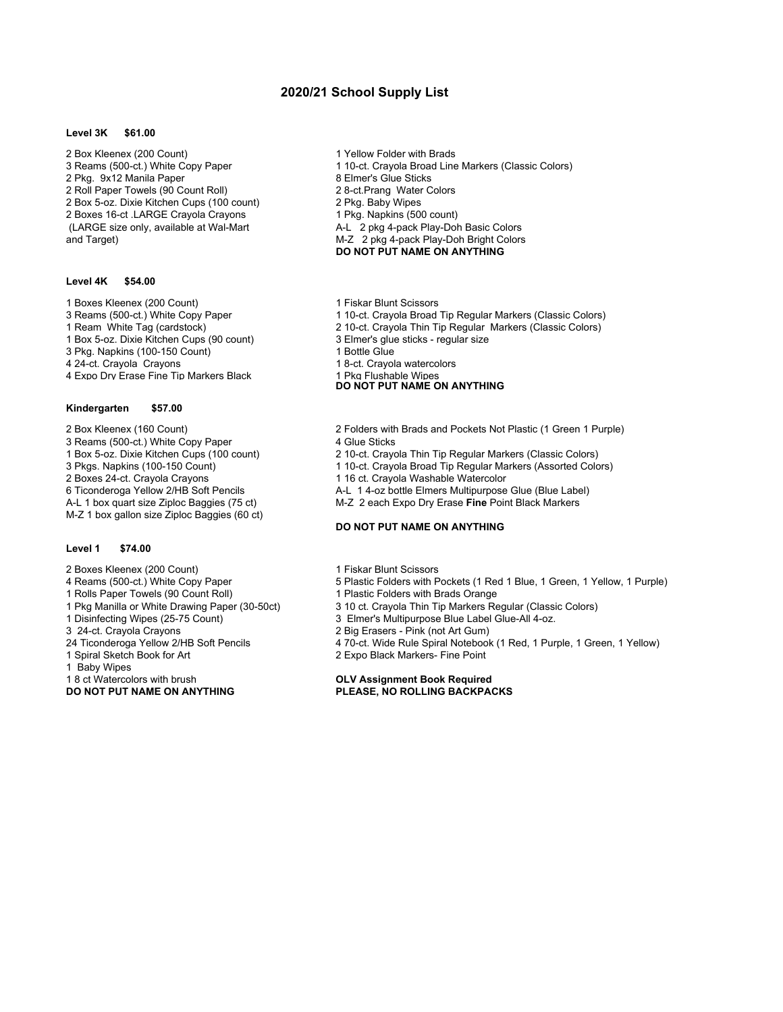# **2020/21 School Supply List**

#### **Level 3K \$61.00**

2 Box Kleenex (200 Count) 2 Box Kleenex (200 Count) 2 Pkg. 9x12 Manila Paper 8 and 8 Elmer's Glue Sticks<br>2 Roll Paper Towels (90 Count Roll) 2 8-ct. Prang Water Colors 2 Roll Paper Towels (90 Count Roll) 2 8-ct. Prang Water 2 Box 5-oz. Dixie Kitchen Cups (100 count) 2 Pkg. Baby Wipes 2 Box 5-oz. Dixie Kitchen Cups (100 count) 2 Boxes 16-ct .LARGE Crayola Crayons 1 Pkg. Napkins (500 count)<br>(LARGE size only, available at Wal-Mart 1 A-L 2 pkg 4-pack Play-Dot and Target) M-Z 2 pkg 4-pack Play-Doh Bright Colors

#### **Level 4K \$54.00**

- 1 Boxes Kleenex (200 Count)<br>
3 Reams (500-ct.) White Copy Paper 1 10-ct. Crayola Broad
- 
- 
- 1 Box 5-oz. Dixie Kitchen Cups (90 count) 3 Elmer's glue sticks regular size
- 3 Pkg. Napkins (100-150 Count)<br>4 24-ct. Crayola Crayons
- 
- 4 Expo Dry Erase Fine Tip Markers Black

#### **Kindergarten \$57.00**

- 
- 3 Reams (500-ct.) White Copy Paper<br>1 Box 5-oz. Dixie Kitchen Cups (100 count)
- 
- 
- 
- 
- 
- M-Z 1 box gallon size Ziploc Baggies (60 ct)

#### **Level 1 \$74.00**

- 
- 2 Boxes Kleenex (200 Count) 1 Fiskar Blunt Scissors<br>4 Reams (500-ct.) White Copy Paper 5 Plastic Folders with P
- 
- 1 Rolls Paper Towels (90 Count Roll)<br>1 Pkg Manilla or White Drawing Paper (30-50ct)
- 
- 
- 3 24-ct. Crayola Crayons 2 Big Erasers Pink (not Art Gum)
- 
- 
- 1 Baby Wipes<br>1 8 ct Watercolors with brush

- 
- 3 Reams (500-ct.) White Copy Paper 1 10-ct. Crayola Broad Line Markers (Classic Colors)
	-
	-
	-
	-
	- A-L 2 pkg 4-pack Play-Doh Basic Colors
	- **DO NOT PUT NAME ON ANYTHING**
	-
	- 1 10-ct. Crayola Broad Tip Regular Markers (Classic Colors)
- 1 Ream White Tag (cardstock) 2 10-ct. Crayola Thin Tip Regular Markers (Classic Colors)
	-
	-
	- 1 8-ct. Crayola watercolors<br>1 Pkg Flushable Wipes
	-

## **DO NOT PUT NAME ON ANYTHING**

- 2 Box Kleenex (160 Count) 2 Folders with Brads and Pockets Not Plastic (1 Green 1 Purple)
	-
- 1 Box 5-oz. Dixie Kitchen Cups (100 count) 2 10-ct. Crayola Thin Tip Regular Markers (Classic Colors) 1 10-ct. Crayola Broad Tip Regular Markers (Assorted Colors)
	-
- 2 Boxes 24-ct. Crayola Crayons 1 16 ct. Crayola Washable Watercolor<br>1 16 ct. Crayola Washable Watercolor<br>4-L 1 4-oz bottle Elmers Multipurpose
- 6 Ticonderoga Yellow 2/HB Soft Pencils <br>A-L 1 box quart size Ziploc Baggies (75 ct) <br>M-Z 2 each Expo Dry Erase Fine Point Black Markers M-Z 2 each Expo Dry Erase Fine Point Black Markers

### **DO NOT PUT NAME ON ANYTHING**

- 
- 5 Plastic Folders with Pockets (1 Red 1 Blue, 1 Green, 1 Yellow, 1 Purple)<br>1 Plastic Folders with Brads Orange
- 
- 1 Pkg Manilla or White Drawing Paper (30-50ct) 3 10 ct. Crayola Thin Tip Markers Regular (Classic Colors)
- 1 Disinfecting Wipes (25-75 Count) 3 Elmer's Multipurpose Blue Label Glue-All 4-oz.<br>3 24-ct. Crayola Crayons 3 24-ct. Crayola Crayons
	-
- 24 Ticonderoga Yellow 2/HB Soft Pencils 4 70-ct. Wide Rule Spiral Notebook (1 Red, 1 Purple, 1 Green, 1 Yellow)<br>1 Spiral Sketch Book for Art 1 2 Expo Black Markers- Fine Point
	- 2 Expo Black Markers- Fine Point

1 8 ct Watercolors with brush **OLV Assignment Book Required PLEASE, NO ROLLING BACKPACKS**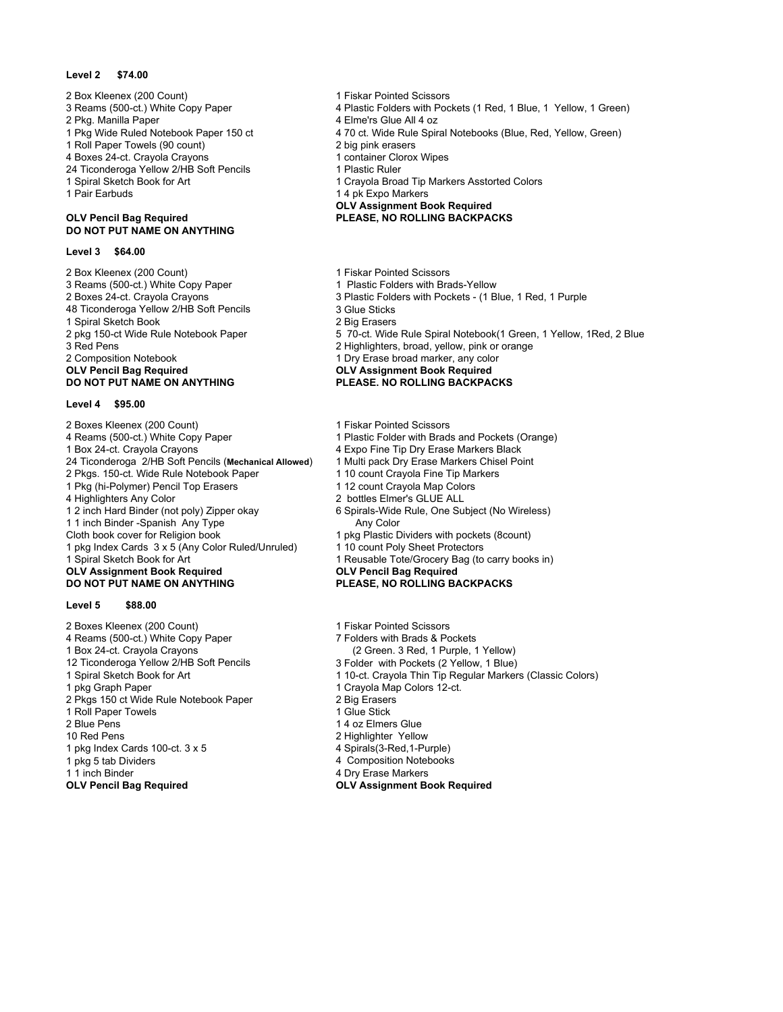#### **Level 2 \$74.00**

- 2 Box Kleenex (200 Count)<br>
2 Box Kleenex (200 Count)<br>
3 Reams (500-ct.) White Copy Paper<br>
2 Plastic Folders with Poc
- 
- 
- 
- 
- 4 Boxes 24-ct. Crayola Crayons 1 container Clorox Wipes<br>
24 Ticonderoga Yellow 2/HB Soft Pencils 1 Plastic Ruler
- 24 Ticonderoga Yellow 2/HB Soft Pencils<br>1 Spiral Sketch Book for Art
- 

# **DO NOT PUT NAME ON ANYTHING**

#### **Level 3 \$64.00**

2 Box Kleenex (200 Count)<br>
2 Box Kleenex (200 Count)<br>
3 Reams (500-ct.) White Copy Paper<br>
2 1 Plastic Folders with Brads-Yellow 3 Reams (500-ct.) White Copy Paper<br>2 Boxes 24-ct. Crayola Crayons 48 Ticonderoga Yellow 2/HB Soft Pencils 3 Glue Sticks<br>1 Spiral Sketch Book 3 Big Erasers 1 Spiral Sketch Book 3 Red Pens 2 Highlighters, broad, yellow, pink or orange 2 Composition Notebook 2 Composition Notebook 2 Composition Notebook 2 Composition Notebook 1 Dry Erase broad marker, any color<br> **OLV Pencil Bag Reguired 1 Dry Erase broad marker, any color OLV Pencil Bag Required OLV Assignment Book Required**

#### **Level 4 \$95.00**

2 Boxes Kleenex (200 Count) 1 Fiskar Pointed Scissors<br>4 Reams (500-ct.) White Copy Paper 1 Plastic Folder with Brads 4 Reams (500-ct.) White Copy Paper 1 Plastic Folder with Brads and Pockets (Orange)<br>1 Box 24-ct. Crayola Crayons 1 Plastic Fore Tip Dry Erase Markers Black 24 Ticonderoga 2/HB Soft Pencils (Mechanical Allowed) 1 Multi pack Dry Erase Markers Chis<br>2 Pkgs. 150-ct. Wide Rule Notebook Paper 1 0 count Cravola Fine Tip Markers 2 Pkgs. 150-ct. Wide Rule Notebook Paper 1 10 count Crayola Fine Tip Markers 1 10 count Crayola Fine Tip Markers<br>1 12 count Crayola Map Colors 1 Pkg (hi-Polymer) Pencil Top Erasers<br>4 Highlighters Any Color 4 Highlighters Any Color 2 bottles Elmer's GLUE ALL 1 1 inch Binder -Spanish Any Type Any Color Cloth book cover for Religion book 1 pkg Plastic Dividers with pockets (8count)<br>1 pkg Index Cards 3 x 5 (Any Color Ruled/Unruled) 1 10 count Poly Sheet Protectors 1 pkg Index Cards  $3 \times 5$  (Any Color Ruled/Unruled) 1 Spiral Sketch Book for Art 1 Reusable Tote/Grocery Bag (to carry books in)<br>1 **OLV Assignment Book Required** 1 **1 CLV Pencil Bag Required OLV Assignment Book Required<br>DO NOT PUT NAME ON ANYTHING** 

#### **Level 5 \$88.00**

2 Boxes Kleenex (200 Count) 1 Fiskar Pointed Scissors<br>4 Reams (500-ct.) White Copy Paper 1 1 1 7 Folders with Brads & Pockets 4 Reams (500-ct.) White Copy Paper 1 Box 24-ct. Crayola Crayons (2 Green. 3 Red, 1 Purple, 1 Yellow) 12 Ticonderoga Yellow 2/HB Soft Pencils<br>1 Spiral Sketch Book for Art 1 pkg Graph Paper 1 Crayola Map Colors 12-ct.<br>1 Crayola Map Colors 12-ct.<br>2 Big Erasers 2 Crayola 2 Big Erasers 2 Pkgs 150 ct Wide Rule Notebook Paper 2 Big Erasers<br>1 Roll Paper Towels 2 8 2 1 Glue Stick 1 Roll Paper Towels<br>2 Blue Pens 2 Blue Pens 2 and 2 4 oz Elmers Glue 2 4 oz Elmers Glue 3 4 oz Elmers Glue 3 4 oz Elmers Glue 3 4 oz Elmers Glue 3 4 oz Elmers Glue 3 4 oz Elmers Glue 3 4 oz Elmers Glue 3 4 oz Elmers Glue 3 4 oz Elmers Glue 3 4 oz Elmers 1 pkg Index Cards 100-ct. 3 x 5 4 Spirals(3-Red,1-Purple) 1 pkg 5 tab Dividers **1 Accord 2 1 and 2 and 4 Composition Notebooks**<br>1 1 inch Binder **4 accord 4 Accord 4 Dividensity** 1 and 4 Dividensity 1 and 4 Dividensity 1 and 4 Dividensity 1 **OLV Pencil Bag Required OLV Assignment Book Required**

- 
- 4 Plastic Folders with Pockets (1 Red, 1 Blue, 1 Yellow, 1 Green)
- 2 Pkg. Manilla Paper 2 Pkg. Manilla Paper 4 Elme'rs Glue All 4 oz<br>1 Pkg Wide Ruled Notebook Paper 150 ct 4 70 ct. Wide Rule Spir
	- 4 70 ct. Wide Rule Spiral Notebooks (Blue, Red, Yellow, Green)
- 1 Roll Paper Towels (90 count) 2 big pink erasers
	-
	-
- 1 Spiral Sketch Book for Art 1 Crayola Broad Tip Markers Asstorted Colors<br>1 Pair Farbuds 1 Apr 2 1 Apr 2 1 Apr 2 1 Apr 2 1 Apr 2 1 Apr 2 1 Apr 2 1 Apr 2 1 Apr 2 1 Apr 2 1 Apr 2 1 Apr 2
	- 1 4 pk Expo Markers
	- **OLV Assignment Book Required**

### **OLV Pencil Bag Required PLEASE, NO ROLLING BACKPACKS**

- 
- 
- 3 Plastic Folders with Pockets (1 Blue, 1 Red, 1 Purple 3 Glue Sticks
- 
- 
- 2 pkg 150-ct Wide Rule Notebook Paper 5 70-ct. Wide Rule Spiral Notebook(1 Green, 1 Yellow, 1Red, 2 Blue
	-
	-
	-

#### **PLEASE. NO ROLLING BACKPACKS**

- 
- 
- 4 Expo Fine Tip Dry Erase Markers Black<br>1 Multi pack Dry Erase Markers Chisel Point
- 
- 
- 
- 
- 6 Spirals-Wide Rule, One Subject (No Wireless)
- 
- 
- 

# **PLEASE, NO ROLLING BACKPACKS**

- 
- 
- 
- 
- 1 10-ct. Crayola Thin Tip Regular Markers (Classic Colors)
- 
- 
- 
- 
- 2 Highlighter Yellow
- 
- 
- 4 Dry Erase Markers
-